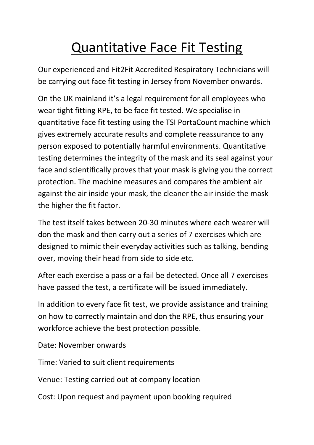## Quantitative Face Fit Testing

Our experienced and Fit2Fit Accredited Respiratory Technicians will be carrying out face fit testing in Jersey from November onwards.

On the UK mainland it's a legal requirement for all employees who wear tight fitting RPE, to be face fit tested. We specialise in quantitative face fit testing using the TSI PortaCount machine which gives extremely accurate results and complete reassurance to any person exposed to potentially harmful environments. Quantitative testing determines the integrity of the mask and its seal against your face and scientifically proves that your mask is giving you the correct protection. The machine measures and compares the ambient air against the air inside your mask, the cleaner the air inside the mask the higher the fit factor.

The test itself takes between 20-30 minutes where each wearer will don the mask and then carry out a series of 7 exercises which are designed to mimic their everyday activities such as talking, bending over, moving their head from side to side etc.

After each exercise a pass or a fail be detected. Once all 7 exercises have passed the test, a certificate will be issued immediately.

In addition to every face fit test, we provide assistance and training on how to correctly maintain and don the RPE, thus ensuring your workforce achieve the best protection possible.

Date: November onwards

Time: Varied to suit client requirements

Venue: Testing carried out at company location

Cost: Upon request and payment upon booking required